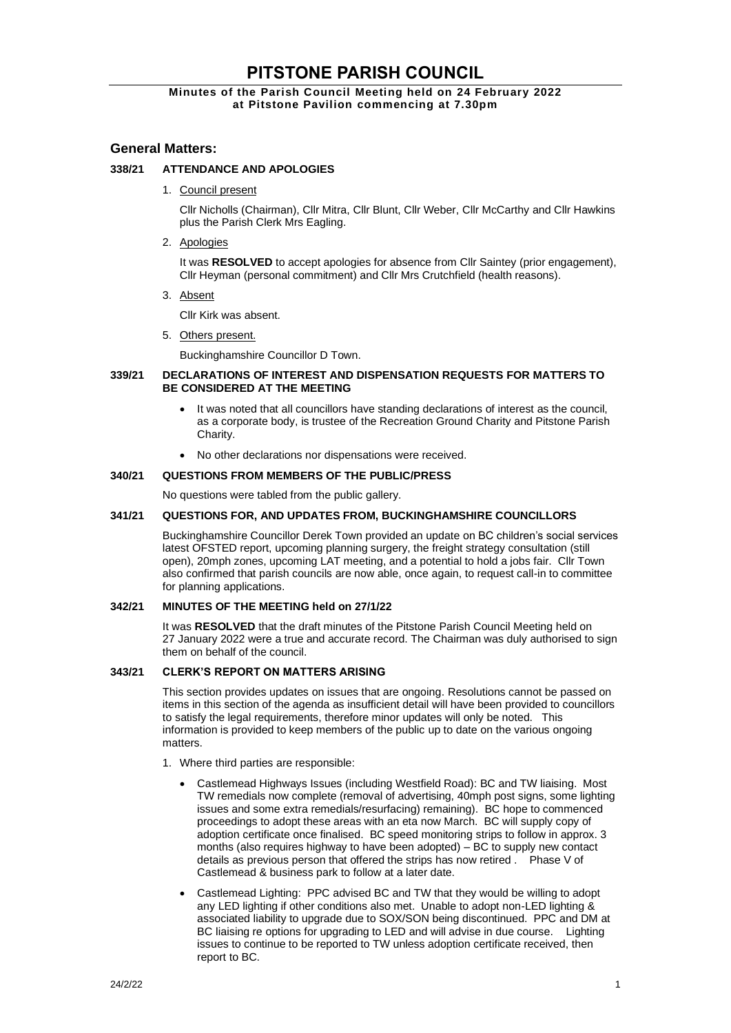# **PITSTONE PARISH COUNCIL**

# **Minutes of the Parish Council Meeting held on 24 February 2022 at Pitstone Pavilion commencing at 7.30pm**

# **General Matters:**

# **338/21 ATTENDANCE AND APOLOGIES**

1. Council present

Cllr Nicholls (Chairman), Cllr Mitra, Cllr Blunt, Cllr Weber, Cllr McCarthy and Cllr Hawkins plus the Parish Clerk Mrs Eagling.

2. Apologies

It was **RESOLVED** to accept apologies for absence from Cllr Saintey (prior engagement), Cllr Heyman (personal commitment) and Cllr Mrs Crutchfield (health reasons).

3. Absent

Cllr Kirk was absent.

5. Others present.

Buckinghamshire Councillor D Town.

## **339/21 DECLARATIONS OF INTEREST AND DISPENSATION REQUESTS FOR MATTERS TO BE CONSIDERED AT THE MEETING**

- It was noted that all councillors have standing declarations of interest as the council, as a corporate body, is trustee of the Recreation Ground Charity and Pitstone Parish Charity.
- No other declarations nor dispensations were received.

## **340/21 QUESTIONS FROM MEMBERS OF THE PUBLIC/PRESS**

No questions were tabled from the public gallery.

# **341/21 QUESTIONS FOR, AND UPDATES FROM, BUCKINGHAMSHIRE COUNCILLORS**

Buckinghamshire Councillor Derek Town provided an update on BC children's social services latest OFSTED report, upcoming planning surgery, the freight strategy consultation (still open), 20mph zones, upcoming LAT meeting, and a potential to hold a jobs fair. Cllr Town also confirmed that parish councils are now able, once again, to request call-in to committee for planning applications.

## **342/21 MINUTES OF THE MEETING held on 27/1/22**

It was **RESOLVED** that the draft minutes of the Pitstone Parish Council Meeting held on 27 January 2022 were a true and accurate record. The Chairman was duly authorised to sign them on behalf of the council.

# **343/21 CLERK'S REPORT ON MATTERS ARISING**

This section provides updates on issues that are ongoing. Resolutions cannot be passed on items in this section of the agenda as insufficient detail will have been provided to councillors to satisfy the legal requirements, therefore minor updates will only be noted. This information is provided to keep members of the public up to date on the various ongoing matters.

- 1. Where third parties are responsible:
	- Castlemead Highways Issues (including Westfield Road): BC and TW liaising. Most TW remedials now complete (removal of advertising, 40mph post signs, some lighting issues and some extra remedials/resurfacing) remaining). BC hope to commenced proceedings to adopt these areas with an eta now March. BC will supply copy of adoption certificate once finalised. BC speed monitoring strips to follow in approx. 3 months (also requires highway to have been adopted) – BC to supply new contact details as previous person that offered the strips has now retired . Phase V of Castlemead & business park to follow at a later date.
	- Castlemead Lighting: PPC advised BC and TW that they would be willing to adopt any LED lighting if other conditions also met. Unable to adopt non-LED lighting & associated liability to upgrade due to SOX/SON being discontinued. PPC and DM at BC liaising re options for upgrading to LED and will advise in due course. Lighting issues to continue to be reported to TW unless adoption certificate received, then report to BC.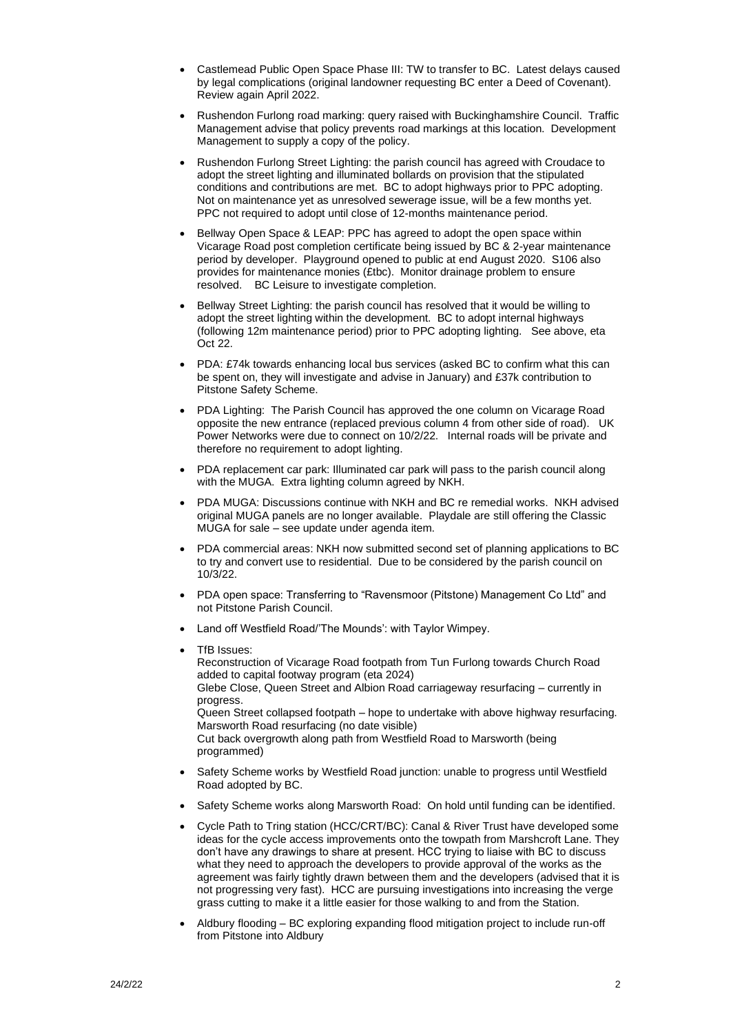- Castlemead Public Open Space Phase III: TW to transfer to BC. Latest delays caused by legal complications (original landowner requesting BC enter a Deed of Covenant). Review again April 2022.
- Rushendon Furlong road marking: query raised with Buckinghamshire Council. Traffic Management advise that policy prevents road markings at this location. Development Management to supply a copy of the policy.
- Rushendon Furlong Street Lighting: the parish council has agreed with Croudace to adopt the street lighting and illuminated bollards on provision that the stipulated conditions and contributions are met. BC to adopt highways prior to PPC adopting. Not on maintenance yet as unresolved sewerage issue, will be a few months yet. PPC not required to adopt until close of 12-months maintenance period.
- Bellway Open Space & LEAP: PPC has agreed to adopt the open space within Vicarage Road post completion certificate being issued by BC & 2-year maintenance period by developer. Playground opened to public at end August 2020. S106 also provides for maintenance monies (£tbc). Monitor drainage problem to ensure resolved. BC Leisure to investigate completion.
- Bellway Street Lighting: the parish council has resolved that it would be willing to adopt the street lighting within the development. BC to adopt internal highways (following 12m maintenance period) prior to PPC adopting lighting. See above, eta Oct 22.
- PDA: £74k towards enhancing local bus services (asked BC to confirm what this can be spent on, they will investigate and advise in January) and £37k contribution to Pitstone Safety Scheme.
- PDA Lighting: The Parish Council has approved the one column on Vicarage Road opposite the new entrance (replaced previous column 4 from other side of road). UK Power Networks were due to connect on 10/2/22. Internal roads will be private and therefore no requirement to adopt lighting.
- PDA replacement car park: Illuminated car park will pass to the parish council along with the MUGA. Extra lighting column agreed by NKH.
- PDA MUGA: Discussions continue with NKH and BC re remedial works. NKH advised original MUGA panels are no longer available. Playdale are still offering the Classic MUGA for sale – see update under agenda item.
- PDA commercial areas: NKH now submitted second set of planning applications to BC to try and convert use to residential. Due to be considered by the parish council on 10/3/22.
- PDA open space: Transferring to "Ravensmoor (Pitstone) Management Co Ltd" and not Pitstone Parish Council.
- Land off Westfield Road/'The Mounds': with Taylor Wimpey.
- TfB Issues:

Reconstruction of Vicarage Road footpath from Tun Furlong towards Church Road added to capital footway program (eta 2024) Glebe Close, Queen Street and Albion Road carriageway resurfacing – currently in progress. Queen Street collapsed footpath – hope to undertake with above highway resurfacing. Marsworth Road resurfacing (no date visible) Cut back overgrowth along path from Westfield Road to Marsworth (being programmed)

- Safety Scheme works by Westfield Road junction: unable to progress until Westfield Road adopted by BC.
- Safety Scheme works along Marsworth Road: On hold until funding can be identified.
- Cycle Path to Tring station (HCC/CRT/BC): Canal & River Trust have developed some ideas for the cycle access improvements onto the towpath from Marshcroft Lane. They don't have any drawings to share at present. HCC trying to liaise with BC to discuss what they need to approach the developers to provide approval of the works as the agreement was fairly tightly drawn between them and the developers (advised that it is not progressing very fast). HCC are pursuing investigations into increasing the verge grass cutting to make it a little easier for those walking to and from the Station.
- Aldbury flooding BC exploring expanding flood mitigation project to include run-off from Pitstone into Aldbury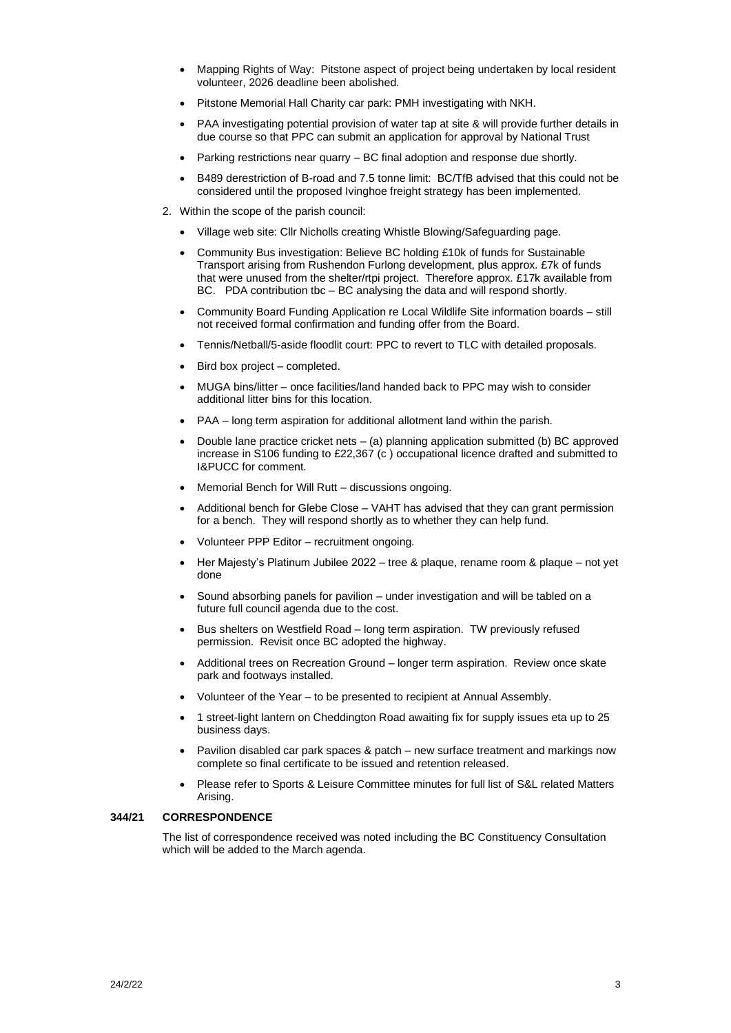- Mapping Rights of Way: Pitstone aspect of project being undertaken by local resident volunteer, 2026 deadline been abolished.
- Pitstone Memorial Hall Charity car park: PMH investigating with NKH.
- PAA investigating potential provision of water tap at site & will provide further details in due course so that PPC can submit an application for approval by National Trust
- Parking restrictions near quarry BC final adoption and response due shortly.
- B489 derestriction of B-road and 7.5 tonne limit: BC/TfB advised that this could not be considered until the proposed Ivinghoe freight strategy has been implemented.
- 2. Within the scope of the parish council:
	- Village web site: Cllr Nicholls creating Whistle Blowing/Safeguarding page.
	- Community Bus investigation: Believe BC holding £10k of funds for Sustainable Transport arising from Rushendon Furlong development, plus approx. £7k of funds that were unused from the shelter/rtpi project. Therefore approx. £17k available from BC. PDA contribution tbc – BC analysing the data and will respond shortly.
	- Community Board Funding Application re Local Wildlife Site information boards still not received formal confirmation and funding offer from the Board.
	- Tennis/Netball/5-aside floodlit court: PPC to revert to TLC with detailed proposals.
	- Bird box project completed.
	- MUGA bins/litter once facilities/land handed back to PPC may wish to consider additional litter bins for this location.
	- PAA long term aspiration for additional allotment land within the parish.
	- Double lane practice cricket nets (a) planning application submitted (b) BC approved increase in S106 funding to £22,367 (c ) occupational licence drafted and submitted to I&PUCC for comment.
	- Memorial Bench for Will Rutt discussions ongoing.
	- Additional bench for Glebe Close VAHT has advised that they can grant permission for a bench. They will respond shortly as to whether they can help fund.
	- Volunteer PPP Editor recruitment ongoing.
	- Her Majesty's Platinum Jubilee 2022 tree & plaque, rename room & plaque not yet done
	- Sound absorbing panels for pavilion under investigation and will be tabled on a future full council agenda due to the cost.
	- Bus shelters on Westfield Road long term aspiration. TW previously refused permission. Revisit once BC adopted the highway.
	- Additional trees on Recreation Ground longer term aspiration. Review once skate park and footways installed.
	- Volunteer of the Year to be presented to recipient at Annual Assembly.
	- 1 street-light lantern on Cheddington Road awaiting fix for supply issues eta up to 25 business days.
	- Pavilion disabled car park spaces & patch new surface treatment and markings now complete so final certificate to be issued and retention released.
	- Please refer to Sports & Leisure Committee minutes for full list of S&L related Matters Arising.

## **344/21 CORRESPONDENCE**

The list of correspondence received was noted including the BC Constituency Consultation which will be added to the March agenda.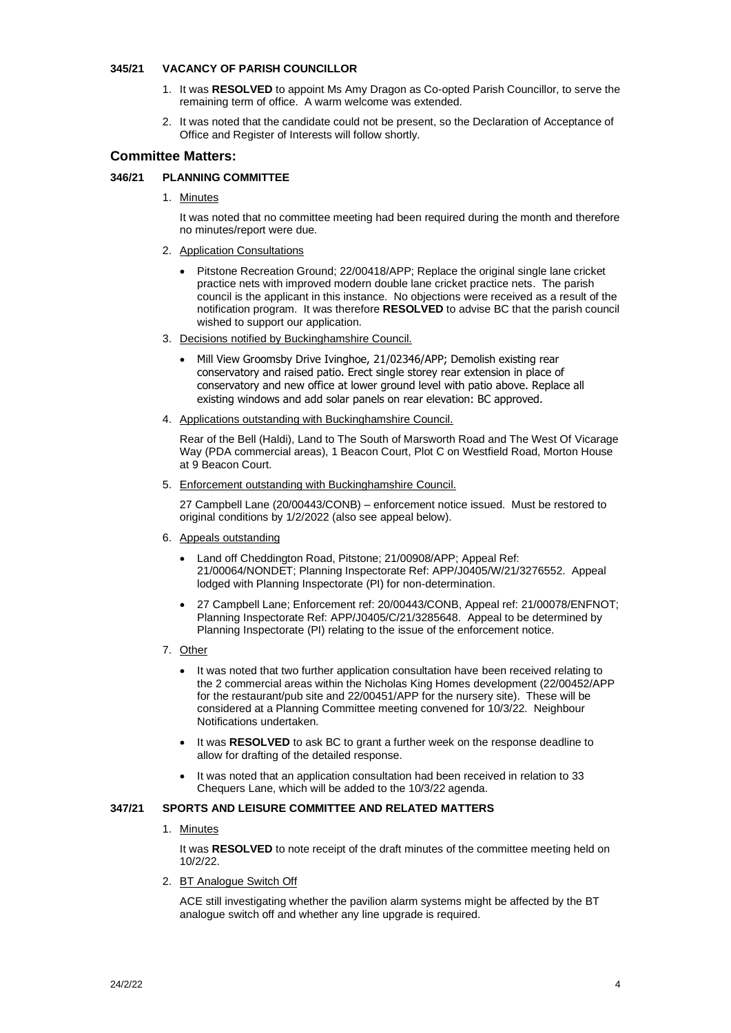### **345/21 VACANCY OF PARISH COUNCILLOR**

- 1. It was **RESOLVED** to appoint Ms Amy Dragon as Co-opted Parish Councillor, to serve the remaining term of office. A warm welcome was extended.
- 2. It was noted that the candidate could not be present, so the Declaration of Acceptance of Office and Register of Interests will follow shortly.

# **Committee Matters:**

# **346/21 PLANNING COMMITTEE**

1. Minutes

It was noted that no committee meeting had been required during the month and therefore no minutes/report were due.

- 2. Application Consultations
	- Pitstone Recreation Ground; 22/00418/APP; [Replace the original single lane cricket](https://publicaccess.aylesburyvaledc.gov.uk/online-applications/applicationDetails.do?activeTab=summary&keyVal=R6Z90ICLMFD00&prevPage=inTray)  [practice nets with improved modern double lane cricket practice nets.](https://publicaccess.aylesburyvaledc.gov.uk/online-applications/applicationDetails.do?activeTab=summary&keyVal=R6Z90ICLMFD00&prevPage=inTray) The parish council is the applicant in this instance. No objections were received as a result of the notification program. It was therefore **RESOLVED** to advise BC that the parish council wished to support our application.
- 3. Decisions notified by Buckinghamshire Council.
	- Mill View Groomsby Drive Ivinghoe, 21/02346/APP; Demolish existing rear conservatory and raised patio. Erect single storey rear extension in place of conservatory and new office at lower ground level with patio above. Replace all existing windows and add solar panels on rear elevation: BC approved.
- 4. Applications outstanding with Buckinghamshire Council.

Rear of the Bell (Haldi), Land to The South of Marsworth Road and The West Of Vicarage Way (PDA commercial areas), 1 Beacon Court, Plot C on Westfield Road, Morton House at 9 Beacon Court.

5. Enforcement outstanding with Buckinghamshire Council.

27 Campbell Lane (20/00443/CONB) – enforcement notice issued. Must be restored to original conditions by 1/2/2022 (also see appeal below).

- 6. Appeals outstanding
	- Land off Cheddington Road, Pitstone; 21/00908/APP; Appeal Ref: 21/00064/NONDET; Planning Inspectorate Ref: APP/J0405/W/21/3276552. Appeal lodged with Planning Inspectorate (PI) for non-determination.
	- 27 Campbell Lane; Enforcement ref: 20/00443/CONB, Appeal ref: 21/00078/ENFNOT; Planning Inspectorate Ref: APP/J0405/C/21/3285648. Appeal to be determined by Planning Inspectorate (PI) relating to the issue of the enforcement notice.
- 7. Other
	- It was noted that two further application consultation have been received relating to the 2 commercial areas within the Nicholas King Homes development (22/00452/APP for the restaurant/pub site and 22/00451/APP for the nursery site). These will be considered at a Planning Committee meeting convened for 10/3/22. Neighbour Notifications undertaken.
	- It was **RESOLVED** to ask BC to grant a further week on the response deadline to allow for drafting of the detailed response.
	- It was noted that an application consultation had been received in relation to 33 Chequers Lane, which will be added to the 10/3/22 agenda.

# **347/21 SPORTS AND LEISURE COMMITTEE AND RELATED MATTERS**

1. Minutes

It was **RESOLVED** to note receipt of the draft minutes of the committee meeting held on 10/2/22.

2. BT Analogue Switch Off

ACE still investigating whether the pavilion alarm systems might be affected by the BT analogue switch off and whether any line upgrade is required.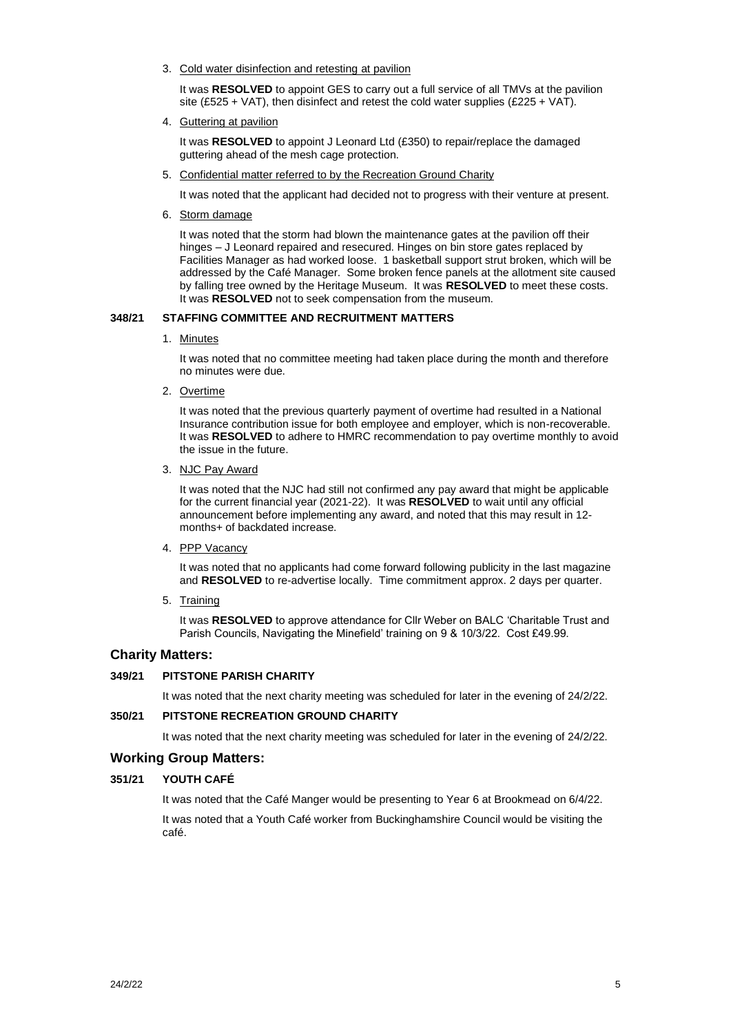3. Cold water disinfection and retesting at pavilion

It was **RESOLVED** to appoint GES to carry out a full service of all TMVs at the pavilion site (£525 + VAT), then disinfect and retest the cold water supplies (£225 + VAT).

4. Guttering at pavilion

It was **RESOLVED** to appoint J Leonard Ltd (£350) to repair/replace the damaged guttering ahead of the mesh cage protection.

5. Confidential matter referred to by the Recreation Ground Charity

It was noted that the applicant had decided not to progress with their venture at present.

6. Storm damage

It was noted that the storm had blown the maintenance gates at the pavilion off their hinges – J Leonard repaired and resecured. Hinges on bin store gates replaced by Facilities Manager as had worked loose. 1 basketball support strut broken, which will be addressed by the Café Manager. Some broken fence panels at the allotment site caused by falling tree owned by the Heritage Museum. It was **RESOLVED** to meet these costs. It was **RESOLVED** not to seek compensation from the museum.

## **348/21 STAFFING COMMITTEE AND RECRUITMENT MATTERS**

1. Minutes

It was noted that no committee meeting had taken place during the month and therefore no minutes were due.

2. Overtime

It was noted that the previous quarterly payment of overtime had resulted in a National Insurance contribution issue for both employee and employer, which is non-recoverable. It was **RESOLVED** to adhere to HMRC recommendation to pay overtime monthly to avoid the issue in the future.

3. NJC Pay Award

It was noted that the NJC had still not confirmed any pay award that might be applicable for the current financial year (2021-22). It was **RESOLVED** to wait until any official announcement before implementing any award, and noted that this may result in 12 months+ of backdated increase.

4. PPP Vacancy

It was noted that no applicants had come forward following publicity in the last magazine and **RESOLVED** to re-advertise locally. Time commitment approx. 2 days per quarter.

5. Training

It was **RESOLVED** to approve attendance for Cllr Weber on BALC 'Charitable Trust and Parish Councils, Navigating the Minefield' training on 9 & 10/3/22. Cost £49.99.

# **Charity Matters:**

## **349/21 PITSTONE PARISH CHARITY**

It was noted that the next charity meeting was scheduled for later in the evening of 24/2/22.

# **350/21 PITSTONE RECREATION GROUND CHARITY**

It was noted that the next charity meeting was scheduled for later in the evening of 24/2/22.

# **Working Group Matters:**

## **351/21 YOUTH CAFÉ**

It was noted that the Café Manger would be presenting to Year 6 at Brookmead on 6/4/22. It was noted that a Youth Café worker from Buckinghamshire Council would be visiting the café.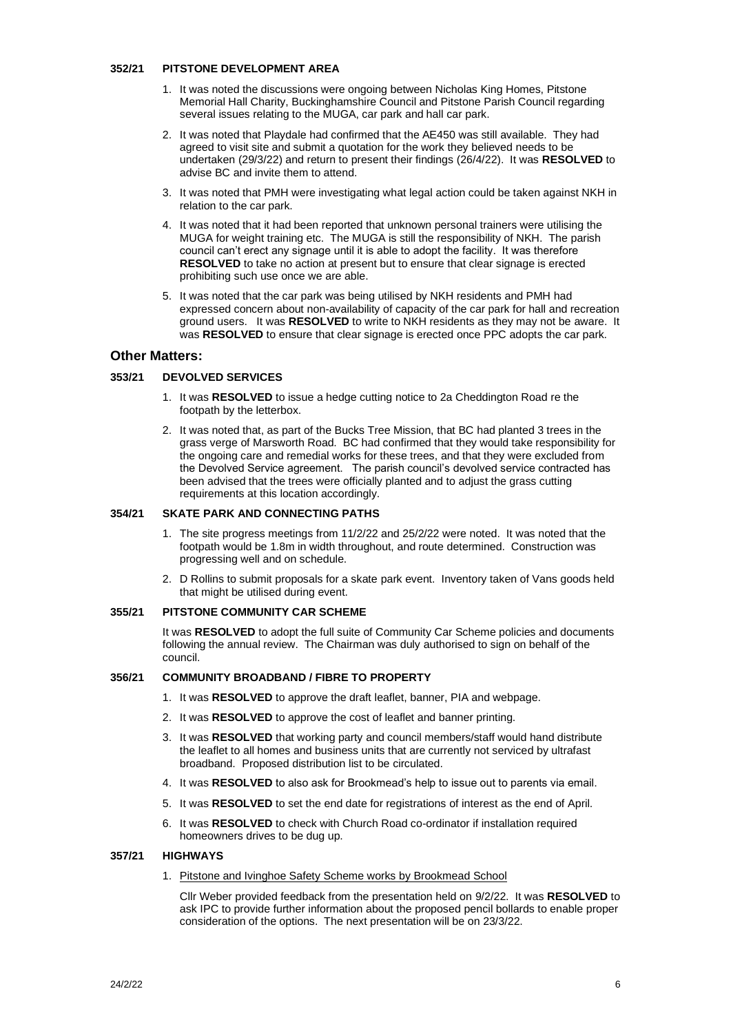#### **352/21 PITSTONE DEVELOPMENT AREA**

- 1. It was noted the discussions were ongoing between Nicholas King Homes, Pitstone Memorial Hall Charity, Buckinghamshire Council and Pitstone Parish Council regarding several issues relating to the MUGA, car park and hall car park.
- 2. It was noted that Playdale had confirmed that the AE450 was still available. They had agreed to visit site and submit a quotation for the work they believed needs to be undertaken (29/3/22) and return to present their findings (26/4/22). It was **RESOLVED** to advise BC and invite them to attend.
- 3. It was noted that PMH were investigating what legal action could be taken against NKH in relation to the car park.
- 4. It was noted that it had been reported that unknown personal trainers were utilising the MUGA for weight training etc. The MUGA is still the responsibility of NKH. The parish council can't erect any signage until it is able to adopt the facility. It was therefore **RESOLVED** to take no action at present but to ensure that clear signage is erected prohibiting such use once we are able.
- 5. It was noted that the car park was being utilised by NKH residents and PMH had expressed concern about non-availability of capacity of the car park for hall and recreation ground users. It was **RESOLVED** to write to NKH residents as they may not be aware. It was **RESOLVED** to ensure that clear signage is erected once PPC adopts the car park.

## **Other Matters:**

### **353/21 DEVOLVED SERVICES**

- 1. It was **RESOLVED** to issue a hedge cutting notice to 2a Cheddington Road re the footpath by the letterbox.
- 2. It was noted that, as part of the Bucks Tree Mission, that BC had planted 3 trees in the grass verge of Marsworth Road. BC had confirmed that they would take responsibility for the ongoing care and remedial works for these trees, and that they were excluded from the Devolved Service agreement. The parish council's devolved service contracted has been advised that the trees were officially planted and to adjust the grass cutting requirements at this location accordingly.

#### **354/21 SKATE PARK AND CONNECTING PATHS**

- 1. The site progress meetings from 11/2/22 and 25/2/22 were noted. It was noted that the footpath would be 1.8m in width throughout, and route determined. Construction was progressing well and on schedule.
- 2. D Rollins to submit proposals for a skate park event. Inventory taken of Vans goods held that might be utilised during event.

### **355/21 PITSTONE COMMUNITY CAR SCHEME**

It was **RESOLVED** to adopt the full suite of Community Car Scheme policies and documents following the annual review. The Chairman was duly authorised to sign on behalf of the council.

## **356/21 COMMUNITY BROADBAND / FIBRE TO PROPERTY**

- 1. It was **RESOLVED** to approve the draft leaflet, banner, PIA and webpage.
- 2. It was **RESOLVED** to approve the cost of leaflet and banner printing.
- 3. It was **RESOLVED** that working party and council members/staff would hand distribute the leaflet to all homes and business units that are currently not serviced by ultrafast broadband. Proposed distribution list to be circulated.
- 4. It was **RESOLVED** to also ask for Brookmead's help to issue out to parents via email.
- 5. It was **RESOLVED** to set the end date for registrations of interest as the end of April.
- 6. It was **RESOLVED** to check with Church Road co-ordinator if installation required homeowners drives to be dug up.

#### **357/21 HIGHWAYS**

1. Pitstone and Ivinghoe Safety Scheme works by Brookmead School

Cllr Weber provided feedback from the presentation held on 9/2/22. It was **RESOLVED** to ask IPC to provide further information about the proposed pencil bollards to enable proper consideration of the options. The next presentation will be on 23/3/22.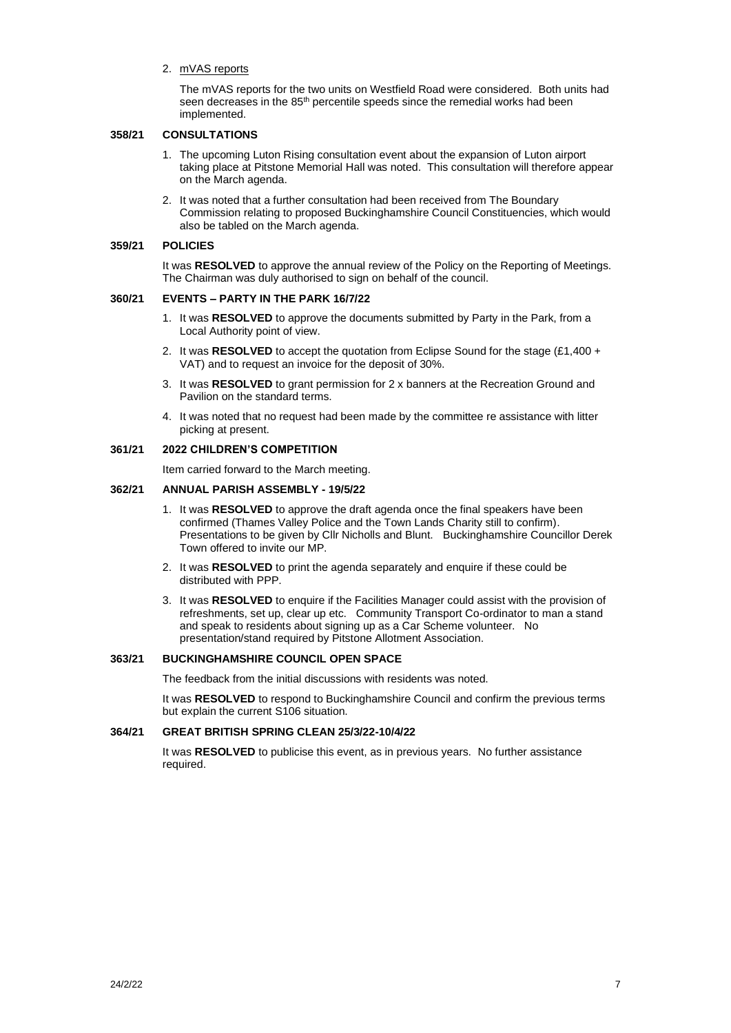#### 2. mVAS reports

The mVAS reports for the two units on Westfield Road were considered. Both units had seen decreases in the 85<sup>th</sup> percentile speeds since the remedial works had been implemented.

#### **358/21 CONSULTATIONS**

- 1. The upcoming Luton Rising consultation event about the expansion of Luton airport taking place at Pitstone Memorial Hall was noted. This consultation will therefore appear on the March agenda.
- 2. It was noted that a further consultation had been received from The Boundary Commission relating to proposed Buckinghamshire Council Constituencies, which would also be tabled on the March agenda.

#### **359/21 POLICIES**

It was **RESOLVED** to approve the annual review of the Policy on the Reporting of Meetings. The Chairman was duly authorised to sign on behalf of the council.

#### **360/21 EVENTS – PARTY IN THE PARK 16/7/22**

- 1. It was **RESOLVED** to approve the documents submitted by Party in the Park, from a Local Authority point of view.
- 2. It was **RESOLVED** to accept the quotation from Eclipse Sound for the stage (£1,400 + VAT) and to request an invoice for the deposit of 30%.
- 3. It was **RESOLVED** to grant permission for 2 x banners at the Recreation Ground and Pavilion on the standard terms.
- 4. It was noted that no request had been made by the committee re assistance with litter picking at present.

## **361/21 2022 CHILDREN'S COMPETITION**

Item carried forward to the March meeting.

## **362/21 ANNUAL PARISH ASSEMBLY - 19/5/22**

- 1. It was **RESOLVED** to approve the draft agenda once the final speakers have been confirmed (Thames Valley Police and the Town Lands Charity still to confirm). Presentations to be given by Cllr Nicholls and Blunt. Buckinghamshire Councillor Derek Town offered to invite our MP.
- 2. It was **RESOLVED** to print the agenda separately and enquire if these could be distributed with PPP.
- 3. It was **RESOLVED** to enquire if the Facilities Manager could assist with the provision of refreshments, set up, clear up etc. Community Transport Co-ordinator to man a stand and speak to residents about signing up as a Car Scheme volunteer. No presentation/stand required by Pitstone Allotment Association.

### **363/21 BUCKINGHAMSHIRE COUNCIL OPEN SPACE**

The feedback from the initial discussions with residents was noted.

It was **RESOLVED** to respond to Buckinghamshire Council and confirm the previous terms but explain the current S106 situation.

#### **364/21 GREAT BRITISH SPRING CLEAN 25/3/22-10/4/22**

It was **RESOLVED** to publicise this event, as in previous years. No further assistance required.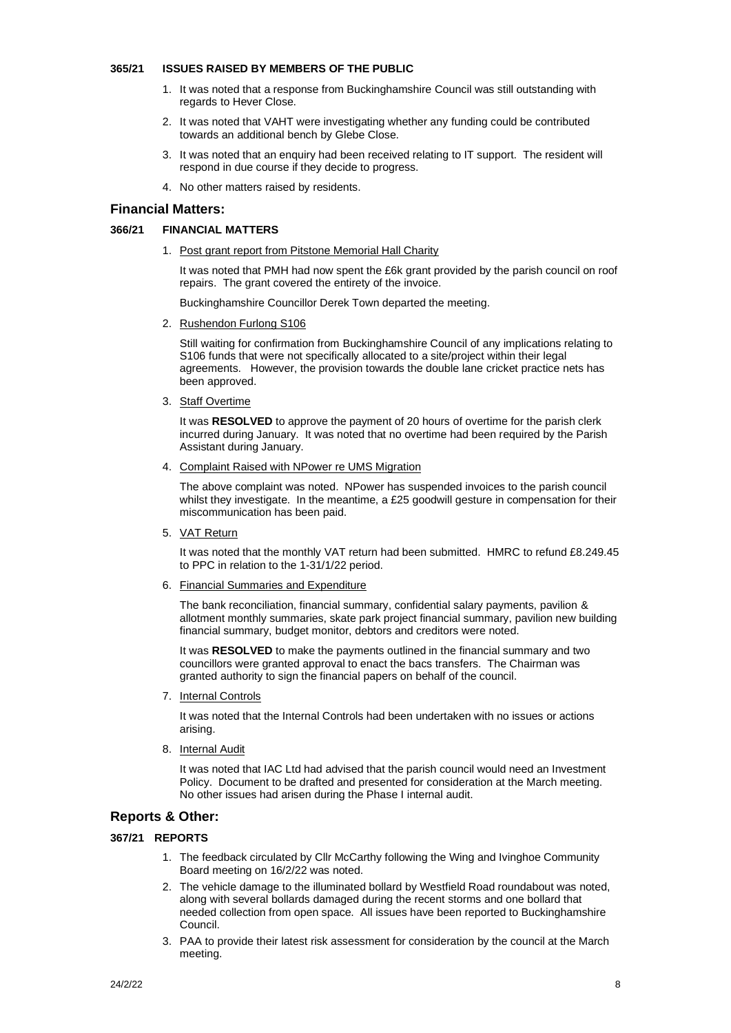#### **365/21 ISSUES RAISED BY MEMBERS OF THE PUBLIC**

- 1. It was noted that a response from Buckinghamshire Council was still outstanding with regards to Hever Close.
- 2. It was noted that VAHT were investigating whether any funding could be contributed towards an additional bench by Glebe Close.
- 3. It was noted that an enquiry had been received relating to IT support. The resident will respond in due course if they decide to progress.
- 4. No other matters raised by residents.

# **Financial Matters:**

## **366/21 FINANCIAL MATTERS**

1. Post grant report from Pitstone Memorial Hall Charity

It was noted that PMH had now spent the £6k grant provided by the parish council on roof repairs. The grant covered the entirety of the invoice.

Buckinghamshire Councillor Derek Town departed the meeting.

2. Rushendon Furlong S106

Still waiting for confirmation from Buckinghamshire Council of any implications relating to S106 funds that were not specifically allocated to a site/project within their legal agreements. However, the provision towards the double lane cricket practice nets has been approved.

3. Staff Overtime

It was **RESOLVED** to approve the payment of 20 hours of overtime for the parish clerk incurred during January. It was noted that no overtime had been required by the Parish Assistant during January.

4. Complaint Raised with NPower re UMS Migration

The above complaint was noted. NPower has suspended invoices to the parish council whilst they investigate. In the meantime, a £25 goodwill gesture in compensation for their miscommunication has been paid.

5. VAT Return

It was noted that the monthly VAT return had been submitted. HMRC to refund £8.249.45 to PPC in relation to the 1-31/1/22 period.

6. Financial Summaries and Expenditure

The bank reconciliation, financial summary, confidential salary payments, pavilion & allotment monthly summaries, skate park project financial summary, pavilion new building financial summary, budget monitor, debtors and creditors were noted.

It was **RESOLVED** to make the payments outlined in the financial summary and two councillors were granted approval to enact the bacs transfers. The Chairman was granted authority to sign the financial papers on behalf of the council.

7. Internal Controls

It was noted that the Internal Controls had been undertaken with no issues or actions arising.

8. Internal Audit

It was noted that IAC Ltd had advised that the parish council would need an Investment Policy. Document to be drafted and presented for consideration at the March meeting. No other issues had arisen during the Phase I internal audit.

# **Reports & Other:**

## **367/21 REPORTS**

- 1. The feedback circulated by Cllr McCarthy following the Wing and Ivinghoe Community Board meeting on 16/2/22 was noted.
- 2. The vehicle damage to the illuminated bollard by Westfield Road roundabout was noted, along with several bollards damaged during the recent storms and one bollard that needed collection from open space. All issues have been reported to Buckinghamshire Council.
- 3. PAA to provide their latest risk assessment for consideration by the council at the March meeting.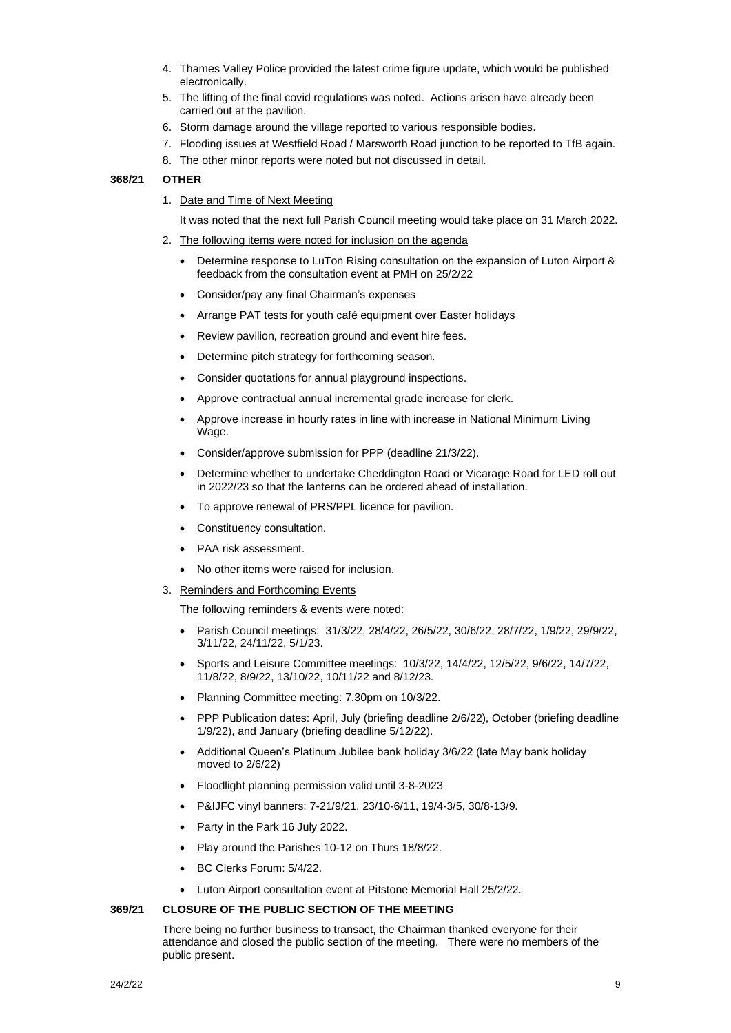- 4. Thames Valley Police provided the latest crime figure update, which would be published electronically.
- 5. The lifting of the final covid regulations was noted. Actions arisen have already been carried out at the pavilion.
- 6. Storm damage around the village reported to various responsible bodies.
- 7. Flooding issues at Westfield Road / Marsworth Road junction to be reported to TfB again.
- 8. The other minor reports were noted but not discussed in detail.

#### **368/21 OTHER**

1. Date and Time of Next Meeting

It was noted that the next full Parish Council meeting would take place on 31 March 2022.

- 2. The following items were noted for inclusion on the agenda
	- Determine response to LuTon Rising consultation on the expansion of Luton Airport & feedback from the consultation event at PMH on 25/2/22
	- Consider/pay any final Chairman's expenses
	- Arrange PAT tests for youth café equipment over Easter holidays
	- Review pavilion, recreation ground and event hire fees.
	- Determine pitch strategy for forthcoming season.
	- Consider quotations for annual playground inspections.
	- Approve contractual annual incremental grade increase for clerk.
	- Approve increase in hourly rates in line with increase in National Minimum Living Wage.
	- Consider/approve submission for PPP (deadline 21/3/22).
	- Determine whether to undertake Cheddington Road or Vicarage Road for LED roll out in 2022/23 so that the lanterns can be ordered ahead of installation.
	- To approve renewal of PRS/PPL licence for pavilion.
	- Constituency consultation.
	- PAA risk assessment.
	- No other items were raised for inclusion.
- 3. Reminders and Forthcoming Events

The following reminders & events were noted:

- Parish Council meetings: 31/3/22, 28/4/22, 26/5/22, 30/6/22, 28/7/22, 1/9/22, 29/9/22, 3/11/22, 24/11/22, 5/1/23.
- Sports and Leisure Committee meetings: 10/3/22, 14/4/22, 12/5/22, 9/6/22, 14/7/22, 11/8/22, 8/9/22, 13/10/22, 10/11/22 and 8/12/23.
- Planning Committee meeting: 7.30pm on 10/3/22.
- PPP Publication dates: April, July (briefing deadline 2/6/22), October (briefing deadline 1/9/22), and January (briefing deadline 5/12/22).
- Additional Queen's Platinum Jubilee bank holiday 3/6/22 (late May bank holiday moved to 2/6/22)
- Floodlight planning permission valid until 3-8-2023
- P&IJFC vinyl banners: 7-21/9/21, 23/10-6/11, 19/4-3/5, 30/8-13/9.
- Party in the Park 16 July 2022.
- Play around the Parishes 10-12 on Thurs 18/8/22.
- BC Clerks Forum: 5/4/22.
- Luton Airport consultation event at Pitstone Memorial Hall 25/2/22.

## **369/21 CLOSURE OF THE PUBLIC SECTION OF THE MEETING**

There being no further business to transact, the Chairman thanked everyone for their attendance and closed the public section of the meeting. There were no members of the public present.